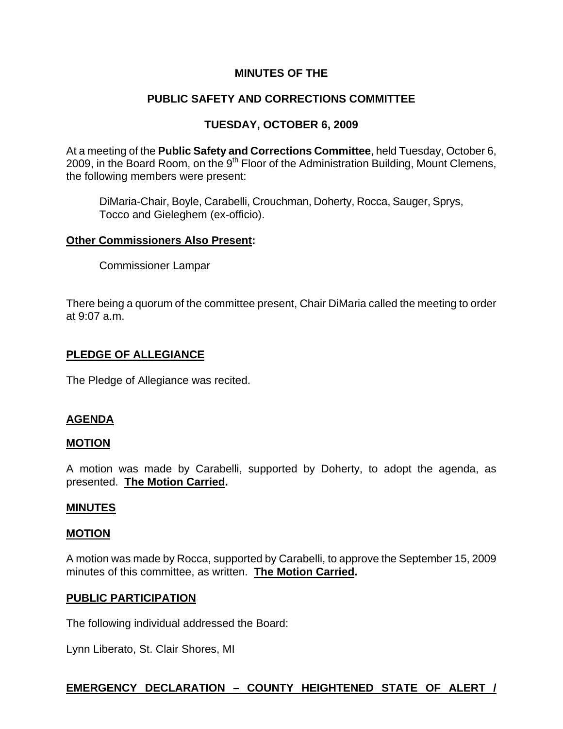## **MINUTES OF THE**

# **PUBLIC SAFETY AND CORRECTIONS COMMITTEE**

# **TUESDAY, OCTOBER 6, 2009**

At a meeting of the **Public Safety and Corrections Committee**, held Tuesday, October 6, 2009, in the Board Room, on the  $9<sup>th</sup>$  Floor of the Administration Building, Mount Clemens, the following members were present:

DiMaria-Chair, Boyle, Carabelli, Crouchman, Doherty, Rocca, Sauger, Sprys, Tocco and Gieleghem (ex-officio).

#### **Other Commissioners Also Present:**

Commissioner Lampar

There being a quorum of the committee present, Chair DiMaria called the meeting to order at 9:07 a.m.

## **PLEDGE OF ALLEGIANCE**

The Pledge of Allegiance was recited.

## **AGENDA**

#### **MOTION**

A motion was made by Carabelli, supported by Doherty, to adopt the agenda, as presented. **The Motion Carried.** 

#### **MINUTES**

#### **MOTION**

A motion was made by Rocca, supported by Carabelli, to approve the September 15, 2009 minutes of this committee, as written. **The Motion Carried.** 

#### **PUBLIC PARTICIPATION**

The following individual addressed the Board:

Lynn Liberato, St. Clair Shores, MI

# **EMERGENCY DECLARATION – COUNTY HEIGHTENED STATE OF ALERT /**